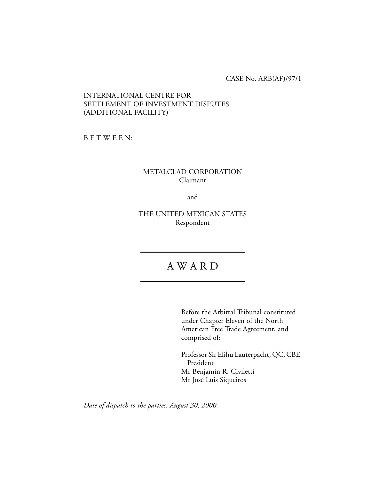CASE No. ARB(AF)/97/1

# INTERNATIONAL CENTRE FOR SETTLEMENT OF INVESTMENT DISPUTES (ADDITIONAL FACILITY)

B E T W E E N:

# METALCLAD CORPORATION Claimant

and

THE UNITED MEXICAN STATES Respondent

# A W A R D

Before the Arbitral Tribunal constituted under Chapter Eleven of the North American Free Trade Agreement, and comprised of:

Professor Sir Elihu Lauterpacht, QC, CBE President Mr Benjamin R. Civiletti Mr José Luis Siqueiros

*Date of dispatch to the parties: August 30, 2000*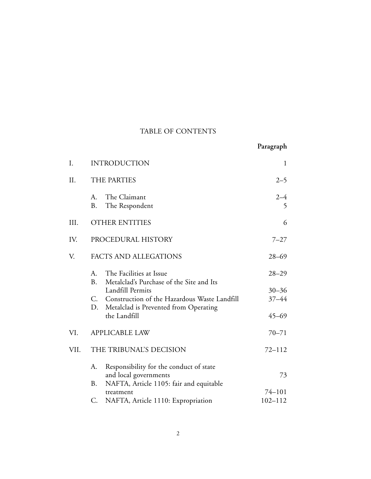# TABLE OF CONTENTS

|      |                                                                                                                    | Paragraph              |
|------|--------------------------------------------------------------------------------------------------------------------|------------------------|
| I.   | <b>INTRODUCTION</b>                                                                                                | 1                      |
| II.  | THE PARTIES                                                                                                        | $2 - 5$                |
|      | The Claimant<br>А.<br>The Respondent<br><b>B.</b>                                                                  | $2 - 4$<br>5           |
| III. | <b>OTHER ENTITIES</b>                                                                                              | 6                      |
| IV.  | PROCEDURAL HISTORY                                                                                                 | $7 - 27$               |
| V.   | <b>FACTS AND ALLEGATIONS</b>                                                                                       | $28 - 69$              |
|      | The Facilities at Issue<br>A.<br>Metalclad's Purchase of the Site and Its<br><b>B.</b>                             | $28 - 29$              |
|      | Landfill Permits<br>C. Construction of the Hazardous Waste Landfill<br>D.<br>Metalclad is Prevented from Operating | $30 - 36$<br>$37 - 44$ |
|      | the Landfill                                                                                                       | $45 - 69$              |
| VI.  | <b>APPLICABLE LAW</b>                                                                                              | $70 - 71$              |
| VII. | THE TRIBUNAL'S DECISION                                                                                            | $72 - 112$             |
|      | Responsibility for the conduct of state<br>А.                                                                      |                        |
|      | and local governments<br><b>B.</b><br>NAFTA, Article 1105: fair and equitable                                      | 73                     |
|      | treatment                                                                                                          | 74-101                 |
|      | C.<br>NAFTA, Article 1110: Expropriation                                                                           | $102 - 112$            |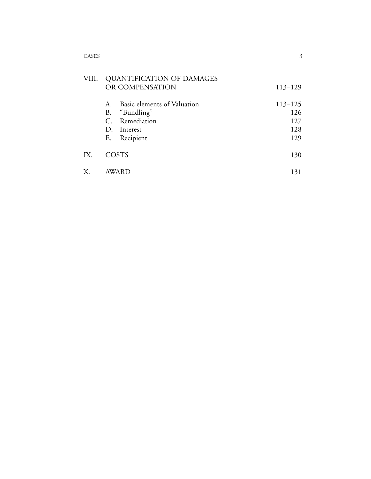| CASES    |  |
|----------|--|
| -------- |  |

| VIII. | QUANTIFICATION OF DAMAGES<br>OR COMPENSATION | $113 - 129$ |
|-------|----------------------------------------------|-------------|
|       |                                              |             |
|       | Basic elements of Valuation<br>$A_{-}$       | $113 - 125$ |
|       | B. "Bundling"                                | 126         |
|       | C. Remediation                               | 127         |
|       | D. Interest                                  | 128         |
|       | Recipient<br>Е.                              | 129         |
| IX.   | COSTS                                        | 130         |
| Х.    | AWARD                                        |             |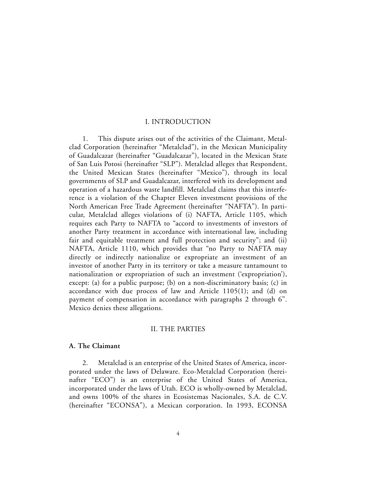#### I. INTRODUCTION

1. This dispute arises out of the activities of the Claimant, Metalclad Corporation (hereinafter "Metalclad"), in the Mexican Municipality of Guadalcazar (hereinafter "Guadalcazar"), located in the Mexican State of San Luis Potosi (hereinafter "SLP"). Metalclad alleges that Respondent, the United Mexican States (hereinafter "Mexico"), through its local governments of SLP and Guadalcazar, interfered with its development and operation of a hazardous waste landfill. Metalclad claims that this interference is a violation of the Chapter Eleven investment provisions of the North American Free Trade Agreement (hereinafter "NAFTA"). In particular, Metalclad alleges violations of (i) NAFTA, Article 1105, which requires each Party to NAFTA to "accord to investments of investors of another Party treatment in accordance with international law, including fair and equitable treatment and full protection and security"; and (ii) NAFTA, Article 1110, which provides that "no Party to NAFTA may directly or indirectly nationalize or expropriate an investment of an investor of another Party in its territory or take a measure tantamount to nationalization or expropriation of such an investment ('expropriation'), except: (a) for a public purpose; (b) on a non-discriminatory basis; (c) in accordance with due process of law and Article 1105(1); and (d) on payment of compensation in accordance with paragraphs 2 through 6". Mexico denies these allegations.

# II. THE PARTIES

# **A. The Claimant**

2. Metalclad is an enterprise of the United States of America, incorporated under the laws of Delaware. Eco-Metalclad Corporation (hereinafter "ECO") is an enterprise of the United States of America, incorporated under the laws of Utah. ECO is wholly-owned by Metalclad, and owns 100% of the shares in Ecosistemas Nacionales, S.A. de C.V. (hereinafter "ECONSA"), a Mexican corporation. In 1993, ECONSA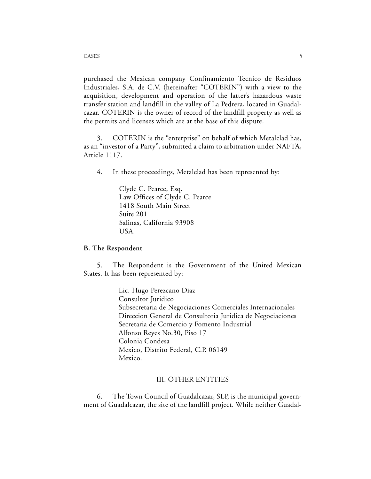purchased the Mexican company Confinamiento Tecnico de Residuos Industriales, S.A. de C.V. (hereinafter "COTERIN") with a view to the acquisition, development and operation of the latter's hazardous waste transfer station and landfill in the valley of La Pedrera, located in Guadalcazar. COTERIN is the owner of record of the landfill property as well as the permits and licenses which are at the base of this dispute.

3. COTERIN is the "enterprise" on behalf of which Metalclad has, as an "investor of a Party", submitted a claim to arbitration under NAFTA, Article 1117.

4. In these proceedings, Metalclad has been represented by:

Clyde C. Pearce, Esq. Law Offices of Clyde C. Pearce 1418 South Main Street Suite 201 Salinas, California 93908 USA.

#### **B. The Respondent**

5. The Respondent is the Government of the United Mexican States. It has been represented by:

> Lic. Hugo Perezcano Diaz Consultor Juridico Subsecretaria de Negociaciones Comerciales Internacionales Direccion General de Consultoria Juridica de Negociaciones Secretaria de Comercio y Fomento Industrial Alfonso Reyes No.30, Piso 17 Colonia Condesa Mexico, Distrito Federal, C.P. 06149 Mexico.

# III. OTHER ENTITIES

6. The Town Council of Guadalcazar, SLP, is the municipal government of Guadalcazar, the site of the landfill project. While neither Guadal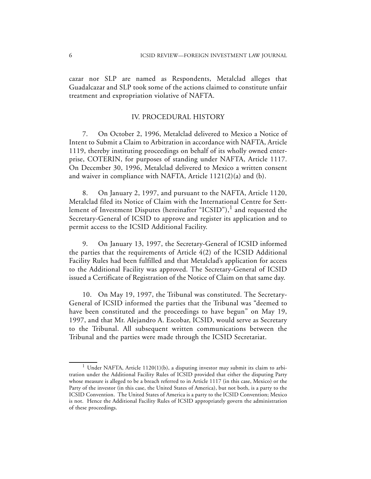cazar nor SLP are named as Respondents, Metalclad alleges that Guadalcazar and SLP took some of the actions claimed to constitute unfair treatment and expropriation violative of NAFTA.

#### IV. PROCEDURAL HISTORY

7. On October 2, 1996, Metalclad delivered to Mexico a Notice of Intent to Submit a Claim to Arbitration in accordance with NAFTA, Article 1119, thereby instituting proceedings on behalf of its wholly owned enterprise, COTERIN, for purposes of standing under NAFTA, Article 1117. On December 30, 1996, Metalclad delivered to Mexico a written consent and waiver in compliance with NAFTA, Article 1121(2)(a) and (b).

8. On January 2, 1997, and pursuant to the NAFTA, Article 1120, Metalclad filed its Notice of Claim with the International Centre for Settlement of Investment Disputes (hereinafter "ICSID"),<sup>1</sup> and requested the Secretary-General of ICSID to approve and register its application and to permit access to the ICSID Additional Facility.

9. On January 13, 1997, the Secretary-General of ICSID informed the parties that the requirements of Article 4(2) of the ICSID Additional Facility Rules had been fulfilled and that Metalclad's application for access to the Additional Facility was approved. The Secretary-General of ICSID issued a Certificate of Registration of the Notice of Claim on that same day.

10. On May 19, 1997, the Tribunal was constituted. The Secretary-General of ICSID informed the parties that the Tribunal was "deemed to have been constituted and the proceedings to have begun" on May 19, 1997, and that Mr. Alejandro A. Escobar, ICSID, would serve as Secretary to the Tribunal. All subsequent written communications between the Tribunal and the parties were made through the ICSID Secretariat.

 $1$  Under NAFTA, Article 1120(1)(b), a disputing investor may submit its claim to arbitration under the Additional Facility Rules of ICSID provided that either the disputing Party whose measure is alleged to be a breach referred to in Article 1117 (in this case, Mexico) or the Party of the investor (in this case, the United States of America), but not both, is a party to the ICSID Convention. The United States of America is a party to the ICSID Convention; Mexico is not. Hence the Additional Facility Rules of ICSID appropriately govern the administration of these proceedings.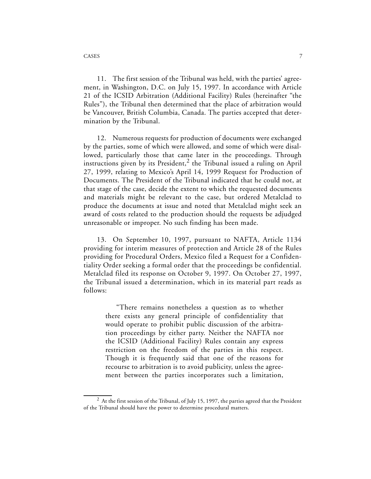11. The first session of the Tribunal was held, with the parties' agreement, in Washington, D.C. on July 15, 1997. In accordance with Article 21 of the ICSID Arbitration (Additional Facility) Rules (hereinafter "the Rules"), the Tribunal then determined that the place of arbitration would be Vancouver, British Columbia, Canada. The parties accepted that determination by the Tribunal.

12. Numerous requests for production of documents were exchanged by the parties, some of which were allowed, and some of which were disallowed, particularly those that came later in the proceedings. Through instructions given by its President, $<sup>2</sup>$  the Tribunal issued a ruling on April</sup> 27, 1999, relating to Mexico's April 14, 1999 Request for Production of Documents. The President of the Tribunal indicated that he could not, at that stage of the case, decide the extent to which the requested documents and materials might be relevant to the case, but ordered Metalclad to produce the documents at issue and noted that Metalclad might seek an award of costs related to the production should the requests be adjudged unreasonable or improper. No such finding has been made.

13. On September 10, 1997, pursuant to NAFTA, Article 1134 providing for interim measures of protection and Article 28 of the Rules providing for Procedural Orders, Mexico filed a Request for a Confidentiality Order seeking a formal order that the proceedings be confidential. Metalclad filed its response on October 9, 1997. On October 27, 1997, the Tribunal issued a determination, which in its material part reads as follows:

"There remains nonetheless a question as to whether there exists any general principle of confidentiality that would operate to prohibit public discussion of the arbitration proceedings by either party. Neither the NAFTA nor the ICSID (Additional Facility) Rules contain any express restriction on the freedom of the parties in this respect. Though it is frequently said that one of the reasons for recourse to arbitration is to avoid publicity, unless the agreement between the parties incorporates such a limitation,

 $2$  At the first session of the Tribunal, of July 15, 1997, the parties agreed that the President of the Tribunal should have the power to determine procedural matters.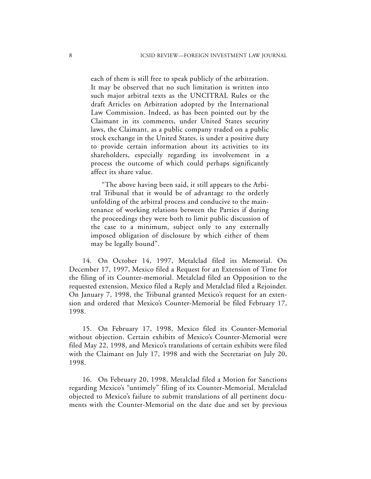each of them is still free to speak publicly of the arbitration. It may be observed that no such limitation is written into such major arbitral texts as the UNCITRAL Rules or the draft Articles on Arbitration adopted by the International Law Commission. Indeed, as has been pointed out by the Claimant in its comments, under United States security laws, the Claimant, as a public company traded on a public stock exchange in the United States, is under a positive duty to provide certain information about its activities to its shareholders, especially regarding its involvement in a process the outcome of which could perhaps significantly affect its share value.

"The above having been said, it still appears to the Arbitral Tribunal that it would be of advantage to the orderly unfolding of the arbitral process and conducive to the maintenance of working relations between the Parties if during the proceedings they were both to limit public discussion of the case to a minimum, subject only to any externally imposed obligation of disclosure by which either of them may be legally bound".

14. On October 14, 1997, Metalclad filed its Memorial. On December 17, 1997, Mexico filed a Request for an Extension of Time for the filing of its Counter-memorial. Metalclad filed an Opposition to the requested extension, Mexico filed a Reply and Metalclad filed a Rejoinder. On January 7, 1998, the Tribunal granted Mexico's request for an extension and ordered that Mexico's Counter-Memorial be filed February 17, 1998.

15. On February 17, 1998, Mexico filed its Counter-Memorial without objection. Certain exhibits of Mexico's Counter-Memorial were filed May 22, 1998, and Mexico's translations of certain exhibits were filed with the Claimant on July 17, 1998 and with the Secretariat on July 20, 1998.

16. On February 20, 1998, Metalclad filed a Motion for Sanctions regarding Mexico's "untimely" filing of its Counter-Memorial. Metalclad objected to Mexico's failure to submit translations of all pertinent documents with the Counter-Memorial on the date due and set by previous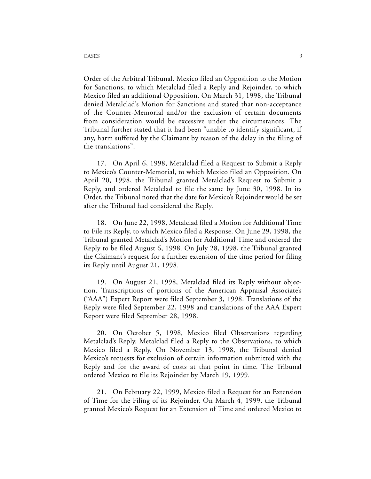Order of the Arbitral Tribunal. Mexico filed an Opposition to the Motion for Sanctions, to which Metalclad filed a Reply and Rejoinder, to which Mexico filed an additional Opposition. On March 31, 1998, the Tribunal denied Metalclad's Motion for Sanctions and stated that non-acceptance of the Counter-Memorial and/or the exclusion of certain documents from consideration would be excessive under the circumstances. The Tribunal further stated that it had been "unable to identify significant, if any, harm suffered by the Claimant by reason of the delay in the filing of the translations".

17. On April 6, 1998, Metalclad filed a Request to Submit a Reply to Mexico's Counter-Memorial, to which Mexico filed an Opposition. On April 20, 1998, the Tribunal granted Metalclad's Request to Submit a Reply, and ordered Metalclad to file the same by June 30, 1998. In its Order, the Tribunal noted that the date for Mexico's Rejoinder would be set after the Tribunal had considered the Reply.

18. On June 22, 1998, Metalclad filed a Motion for Additional Time to File its Reply, to which Mexico filed a Response. On June 29, 1998, the Tribunal granted Metalclad's Motion for Additional Time and ordered the Reply to be filed August 6, 1998. On July 28, 1998, the Tribunal granted the Claimant's request for a further extension of the time period for filing its Reply until August 21, 1998.

19. On August 21, 1998, Metalclad filed its Reply without objection. Transcriptions of portions of the American Appraisal Associate's ("AAA") Expert Report were filed September 3, 1998. Translations of the Reply were filed September 22, 1998 and translations of the AAA Expert Report were filed September 28, 1998.

20. On October 5, 1998, Mexico filed Observations regarding Metalclad's Reply. Metalclad filed a Reply to the Observations, to which Mexico filed a Reply. On November 13, 1998, the Tribunal denied Mexico's requests for exclusion of certain information submitted with the Reply and for the award of costs at that point in time. The Tribunal ordered Mexico to file its Rejoinder by March 19, 1999.

21. On February 22, 1999, Mexico filed a Request for an Extension of Time for the Filing of its Rejoinder. On March 4, 1999, the Tribunal granted Mexico's Request for an Extension of Time and ordered Mexico to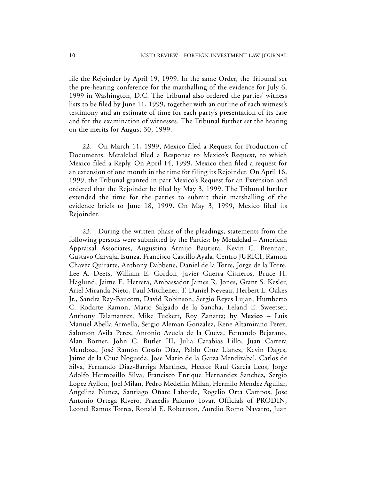file the Rejoinder by April 19, 1999. In the same Order, the Tribunal set the pre-hearing conference for the marshalling of the evidence for July 6, 1999 in Washington, D.C. The Tribunal also ordered the parties' witness lists to be filed by June 11, 1999, together with an outline of each witness's testimony and an estimate of time for each party's presentation of its case and for the examination of witnesses. The Tribunal further set the hearing on the merits for August 30, 1999.

22. On March 11, 1999, Mexico filed a Request for Production of Documents. Metalclad filed a Response to Mexico's Request, to which Mexico filed a Reply. On April 14, 1999, Mexico then filed a request for an extension of one month in the time for filing its Rejoinder. On April 16, 1999, the Tribunal granted in part Mexico's Request for an Extension and ordered that the Rejoinder be filed by May 3, 1999. The Tribunal further extended the time for the parties to submit their marshalling of the evidence briefs to June 18, 1999. On May 3, 1999, Mexico filed its Rejoinder.

23. During the written phase of the pleadings, statements from the following persons were submitted by the Parties: **by Metalclad** – American Appraisal Associates, Augustina Armijo Bautista, Kevin C. Brennan, Gustavo Carvajal Isunza, Francisco Castillo Ayala, Centro JURICI, Ramon Chavez Quirarte, Anthony Dabbene, Daniel de la Torre, Jorge de la Torre, Lee A. Deets, William E. Gordon, Javier Guerra Cisneros, Bruce H. Haglund, Jaime E. Herrera, Ambassador James R. Jones, Grant S. Kesler, Ariel Miranda Nieto, Paul Mitchener, T. Daniel Neveau, Herbert L. Oakes Jr., Sandra Ray-Baucom, David Robinson, Sergio Reyes Lujan, Humberto C. Rodarte Ramon, Mario Salgado de la Sancha, Leland E. Sweetser, Anthony Talamantez, Mike Tuckett, Roy Zanatta; **by Mexico** – Luis Manuel Abella Armella, Sergio Aleman Gonzalez, Rene Altamirano Perez, Salomon Avila Perez, Antonio Azuela de la Cueva, Fernando Bejarano, Alan Borner, John C. Butler III, Julia Carabias Lillo, Juan Carrera Mendoza, José Ramón Cossío Díaz, Pablo Cruz Llañez, Kevin Dages, Jaime de la Cruz Nogueda, Jose Mario de la Garza Mendizabal, Carlos de Silva, Fernando Diaz-Barriga Martinez, Hector Raul Garcia Leos, Jorge Adolfo Hermosillo Silva, Francisco Enrique Hernandez Sanchez, Sergio Lopez Ayllon, Joel Milan, Pedro Medellin Milan, Hermilo Mendez Aguilar, Angelina Nunez, Santiago Oñate Laborde, Rogelio Orta Campos, Jose Antonio Ortega Rivero, Praxedis Palomo Tovar, Officials of PRODIN, Leonel Ramos Torres, Ronald E. Robertson, Aurelio Romo Navarro, Juan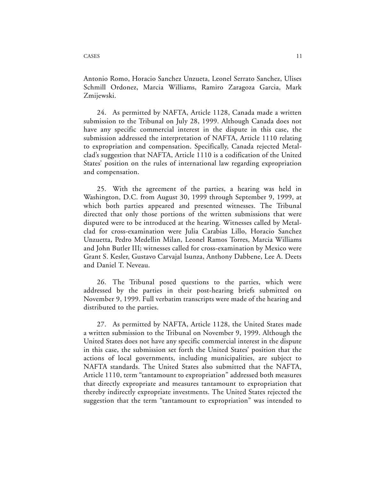Antonio Romo, Horacio Sanchez Unzueta, Leonel Serrato Sanchez, Ulises Schmill Ordonez, Marcia Williams, Ramiro Zaragoza Garcia, Mark Zmijewski.

24. As permitted by NAFTA, Article 1128, Canada made a written submission to the Tribunal on July 28, 1999. Although Canada does not have any specific commercial interest in the dispute in this case, the submission addressed the interpretation of NAFTA, Article 1110 relating to expropriation and compensation. Specifically, Canada rejected Metalclad's suggestion that NAFTA, Article 1110 is a codification of the United States' position on the rules of international law regarding expropriation and compensation.

25. With the agreement of the parties, a hearing was held in Washington, D.C. from August 30, 1999 through September 9, 1999, at which both parties appeared and presented witnesses. The Tribunal directed that only those portions of the written submissions that were disputed were to be introduced at the hearing. Witnesses called by Metalclad for cross-examination were Julia Carabias Lillo, Horacio Sanchez Unzuetta, Pedro Medellin Milan, Leonel Ramos Torres, Marcia Williams and John Butler III; witnesses called for cross-examination by Mexico were Grant S. Kesler, Gustavo Carvajal Isunza, Anthony Dabbene, Lee A. Deets and Daniel T. Neveau.

26. The Tribunal posed questions to the parties, which were addressed by the parties in their post-hearing briefs submitted on November 9, 1999. Full verbatim transcripts were made of the hearing and distributed to the parties.

27. As permitted by NAFTA, Article 1128, the United States made a written submission to the Tribunal on November 9, 1999. Although the United States does not have any specific commercial interest in the dispute in this case, the submission set forth the United States' position that the actions of local governments, including municipalities, are subject to NAFTA standards. The United States also submitted that the NAFTA, Article 1110, term "tantamount to expropriation" addressed both measures that directly expropriate and measures tantamount to expropriation that thereby indirectly expropriate investments. The United States rejected the suggestion that the term "tantamount to expropriation" was intended to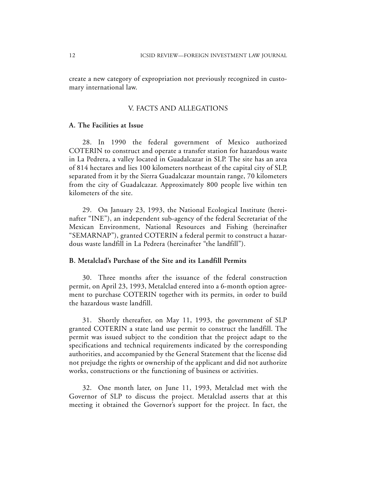create a new category of expropriation not previously recognized in customary international law.

#### V. FACTS AND ALLEGATIONS

#### **A. The Facilities at Issue**

28. In 1990 the federal government of Mexico authorized COTERIN to construct and operate a transfer station for hazardous waste in La Pedrera, a valley located in Guadalcazar in SLP. The site has an area of 814 hectares and lies 100 kilometers northeast of the capital city of SLP, separated from it by the Sierra Guadalcazar mountain range, 70 kilometers from the city of Guadalcazar. Approximately 800 people live within ten kilometers of the site.

29. On January 23, 1993, the National Ecological Institute (hereinafter "INE"), an independent sub-agency of the federal Secretariat of the Mexican Environment, National Resources and Fishing (hereinafter "SEMARNAP"), granted COTERIN a federal permit to construct a hazardous waste landfill in La Pedrera (hereinafter "the landfill").

# **B. Metalclad's Purchase of the Site and its Landfill Permits**

30. Three months after the issuance of the federal construction permit, on April 23, 1993, Metalclad entered into a 6-month option agreement to purchase COTERIN together with its permits, in order to build the hazardous waste landfill.

31. Shortly thereafter, on May 11, 1993, the government of SLP granted COTERIN a state land use permit to construct the landfill. The permit was issued subject to the condition that the project adapt to the specifications and technical requirements indicated by the corresponding authorities, and accompanied by the General Statement that the license did not prejudge the rights or ownership of the applicant and did not authorize works, constructions or the functioning of business or activities.

32. One month later, on June 11, 1993, Metalclad met with the Governor of SLP to discuss the project. Metalclad asserts that at this meeting it obtained the Governor's support for the project. In fact, the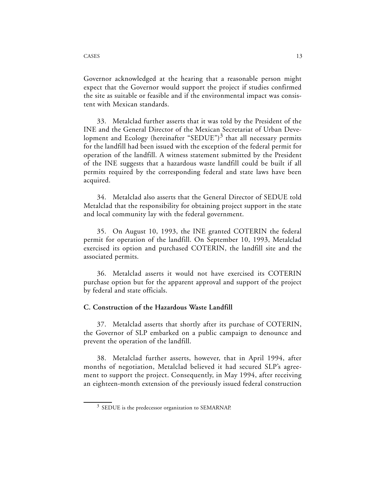Governor acknowledged at the hearing that a reasonable person might expect that the Governor would support the project if studies confirmed the site as suitable or feasible and if the environmental impact was consistent with Mexican standards.

33. Metalclad further asserts that it was told by the President of the INE and the General Director of the Mexican Secretariat of Urban Development and Ecology (hereinafter "SEDUE")<sup>3</sup> that all necessary permits for the landfill had been issued with the exception of the federal permit for operation of the landfill. A witness statement submitted by the President of the INE suggests that a hazardous waste landfill could be built if all permits required by the corresponding federal and state laws have been acquired.

34. Metalclad also asserts that the General Director of SEDUE told Metalclad that the responsibility for obtaining project support in the state and local community lay with the federal government.

35. On August 10, 1993, the INE granted COTERIN the federal permit for operation of the landfill. On September 10, 1993, Metalclad exercised its option and purchased COTERIN, the landfill site and the associated permits.

36. Metalclad asserts it would not have exercised its COTERIN purchase option but for the apparent approval and support of the project by federal and state officials.

# **C. Construction of the Hazardous Waste Landfill**

37. Metalclad asserts that shortly after its purchase of COTERIN, the Governor of SLP embarked on a public campaign to denounce and prevent the operation of the landfill.

38. Metalclad further asserts, however, that in April 1994, after months of negotiation, Metalclad believed it had secured SLP's agreement to support the project. Consequently, in May 1994, after receiving an eighteen-month extension of the previously issued federal construction

<sup>&</sup>lt;sup>3</sup> SEDUE is the predecessor organization to SEMARNAP.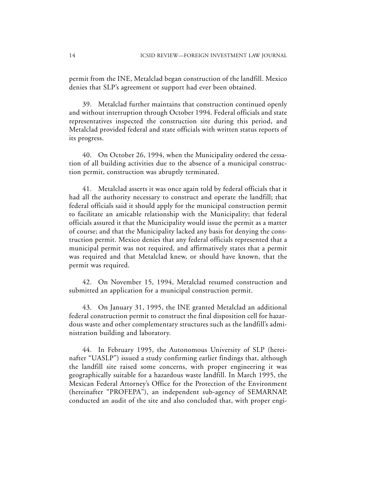permit from the INE, Metalclad began construction of the landfill. Mexico denies that SLP's agreement or support had ever been obtained.

39. Metalclad further maintains that construction continued openly and without interruption through October 1994. Federal officials and state representatives inspected the construction site during this period, and Metalclad provided federal and state officials with written status reports of its progress.

40. On October 26, 1994, when the Municipality ordered the cessation of all building activities due to the absence of a municipal construction permit, construction was abruptly terminated.

41. Metalclad asserts it was once again told by federal officials that it had all the authority necessary to construct and operate the landfill; that federal officials said it should apply for the municipal construction permit to facilitate an amicable relationship with the Municipality; that federal officials assured it that the Municipality would issue the permit as a matter of course; and that the Municipality lacked any basis for denying the construction permit. Mexico denies that any federal officials represented that a municipal permit was not required, and affirmatively states that a permit was required and that Metalclad knew, or should have known, that the permit was required.

42. On November 15, 1994, Metalclad resumed construction and submitted an application for a municipal construction permit.

43. On January 31, 1995, the INE granted Metalclad an additional federal construction permit to construct the final disposition cell for hazardous waste and other complementary structures such as the landfill's administration building and laboratory.

44. In February 1995, the Autonomous University of SLP (hereinafter "UASLP") issued a study confirming earlier findings that, although the landfill site raised some concerns, with proper engineering it was geographically suitable for a hazardous waste landfill. In March 1995, the Mexican Federal Attorney's Office for the Protection of the Environment (hereinafter "PROFEPA"), an independent sub-agency of SEMARNAP, conducted an audit of the site and also concluded that, with proper engi-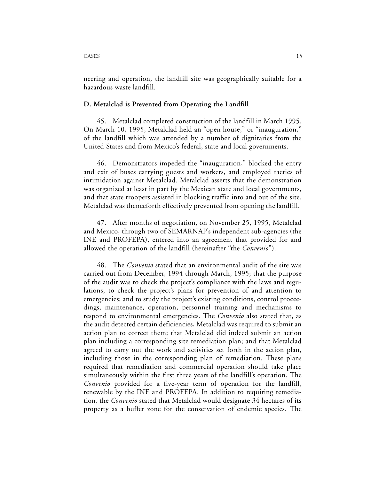neering and operation, the landfill site was geographically suitable for a hazardous waste landfill.

#### **D. Metalclad is Prevented from Operating the Landfill**

45. Metalclad completed construction of the landfill in March 1995. On March 10, 1995, Metalclad held an "open house," or "inauguration," of the landfill which was attended by a number of dignitaries from the United States and from Mexico's federal, state and local governments.

46. Demonstrators impeded the "inauguration," blocked the entry and exit of buses carrying guests and workers, and employed tactics of intimidation against Metalclad. Metalclad asserts that the demonstration was organized at least in part by the Mexican state and local governments, and that state troopers assisted in blocking traffic into and out of the site. Metalclad was thenceforth effectively prevented from opening the landfill.

47. After months of negotiation, on November 25, 1995, Metalclad and Mexico, through two of SEMARNAP's independent sub-agencies (the INE and PROFEPA), entered into an agreement that provided for and allowed the operation of the landfill (hereinafter "the *Convenio*").

48. The *Convenio* stated that an environmental audit of the site was carried out from December, 1994 through March, 1995; that the purpose of the audit was to check the project's compliance with the laws and regulations; to check the project's plans for prevention of and attention to emergencies; and to study the project's existing conditions, control proceedings, maintenance, operation, personnel training and mechanisms to respond to environmental emergencies. The *Convenio* also stated that, as the audit detected certain deficiencies, Metalclad was required to submit an action plan to correct them; that Metalclad did indeed submit an action plan including a corresponding site remediation plan; and that Metalclad agreed to carry out the work and activities set forth in the action plan, including those in the corresponding plan of remediation. These plans required that remediation and commercial operation should take place simultaneously within the first three years of the landfill's operation. The *Convenio* provided for a five-year term of operation for the landfill, renewable by the INE and PROFEPA. In addition to requiring remediation, the *Convenio* stated that Metalclad would designate 34 hectares of its property as a buffer zone for the conservation of endemic species. The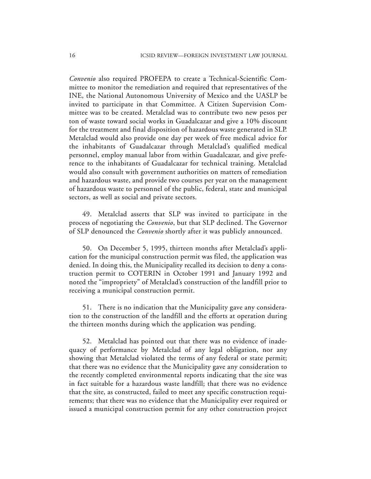*Convenio* also required PROFEPA to create a Technical-Scientific Committee to monitor the remediation and required that representatives of the INE, the National Autonomous University of Mexico and the UASLP be invited to participate in that Committee. A Citizen Supervision Committee was to be created. Metalclad was to contribute two new pesos per ton of waste toward social works in Guadalcazar and give a 10% discount for the treatment and final disposition of hazardous waste generated in SLP. Metalclad would also provide one day per week of free medical advice for the inhabitants of Guadalcazar through Metalclad's qualified medical personnel, employ manual labor from within Guadalcazar, and give preference to the inhabitants of Guadalcazar for technical training. Metalclad would also consult with government authorities on matters of remediation and hazardous waste, and provide two courses per year on the management of hazardous waste to personnel of the public, federal, state and municipal sectors, as well as social and private sectors.

49. Metalclad asserts that SLP was invited to participate in the process of negotiating the *Convenio*, but that SLP declined. The Governor of SLP denounced the *Convenio* shortly after it was publicly announced.

50. On December 5, 1995, thirteen months after Metalclad's application for the municipal construction permit was filed, the application was denied. In doing this, the Municipality recalled its decision to deny a construction permit to COTERIN in October 1991 and January 1992 and noted the "impropriety" of Metalclad's construction of the landfill prior to receiving a municipal construction permit.

51. There is no indication that the Municipality gave any consideration to the construction of the landfill and the efforts at operation during the thirteen months during which the application was pending.

52. Metalclad has pointed out that there was no evidence of inadequacy of performance by Metalclad of any legal obligation, nor any showing that Metalclad violated the terms of any federal or state permit; that there was no evidence that the Municipality gave any consideration to the recently completed environmental reports indicating that the site was in fact suitable for a hazardous waste landfill; that there was no evidence that the site, as constructed, failed to meet any specific construction requirements; that there was no evidence that the Municipality ever required or issued a municipal construction permit for any other construction project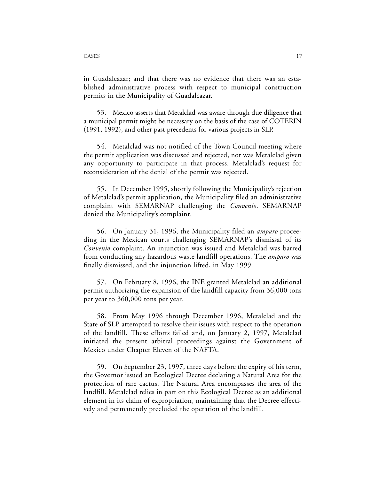in Guadalcazar; and that there was no evidence that there was an established administrative process with respect to municipal construction permits in the Municipality of Guadalcazar.

53. Mexico asserts that Metalclad was aware through due diligence that a municipal permit might be necessary on the basis of the case of COTERIN (1991, 1992), and other past precedents for various projects in SLP.

54. Metalclad was not notified of the Town Council meeting where the permit application was discussed and rejected, nor was Metalclad given any opportunity to participate in that process. Metalclad's request for reconsideration of the denial of the permit was rejected.

55. In December 1995, shortly following the Municipality's rejection of Metalclad's permit application, the Municipality filed an administrative complaint with SEMARNAP challenging the *Convenio*. SEMARNAP denied the Municipality's complaint.

56. On January 31, 1996, the Municipality filed an *amparo* proceeding in the Mexican courts challenging SEMARNAP's dismissal of its *Convenio* complaint. An injunction was issued and Metalclad was barred from conducting any hazardous waste landfill operations. The *amparo* was finally dismissed, and the injunction lifted, in May 1999.

57. On February 8, 1996, the INE granted Metalclad an additional permit authorizing the expansion of the landfill capacity from 36,000 tons per year to 360,000 tons per year.

58. From May 1996 through December 1996, Metalclad and the State of SLP attempted to resolve their issues with respect to the operation of the landfill. These efforts failed and, on January 2, 1997, Metalclad initiated the present arbitral proceedings against the Government of Mexico under Chapter Eleven of the NAFTA.

59. On September 23, 1997, three days before the expiry of his term, the Governor issued an Ecological Decree declaring a Natural Area for the protection of rare cactus. The Natural Area encompasses the area of the landfill. Metalclad relies in part on this Ecological Decree as an additional element in its claim of expropriation, maintaining that the Decree effectively and permanently precluded the operation of the landfill.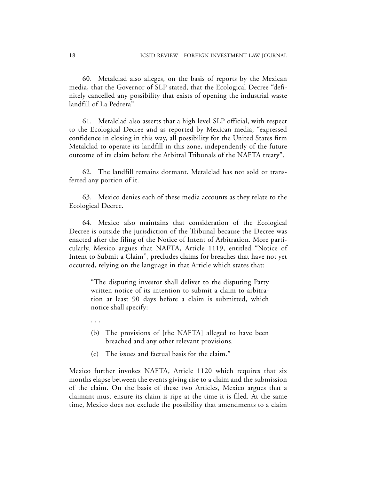60. Metalclad also alleges, on the basis of reports by the Mexican media, that the Governor of SLP stated, that the Ecological Decree "definitely cancelled any possibility that exists of opening the industrial waste landfill of La Pedrera".

61. Metalclad also asserts that a high level SLP official, with respect to the Ecological Decree and as reported by Mexican media, "expressed confidence in closing in this way, all possibility for the United States firm Metalclad to operate its landfill in this zone, independently of the future outcome of its claim before the Arbitral Tribunals of the NAFTA treaty".

62. The landfill remains dormant. Metalclad has not sold or transferred any portion of it.

63. Mexico denies each of these media accounts as they relate to the Ecological Decree.

64. Mexico also maintains that consideration of the Ecological Decree is outside the jurisdiction of the Tribunal because the Decree was enacted after the filing of the Notice of Intent of Arbitration. More particularly, Mexico argues that NAFTA, Article 1119, entitled "Notice of Intent to Submit a Claim", precludes claims for breaches that have not yet occurred, relying on the language in that Article which states that:

"The disputing investor shall deliver to the disputing Party written notice of its intention to submit a claim to arbitration at least 90 days before a claim is submitted, which notice shall specify:

- . . .
- (b) The provisions of [the NAFTA] alleged to have been breached and any other relevant provisions.
- (c) The issues and factual basis for the claim."

Mexico further invokes NAFTA, Article 1120 which requires that six months elapse between the events giving rise to a claim and the submission of the claim. On the basis of these two Articles, Mexico argues that a claimant must ensure its claim is ripe at the time it is filed. At the same time, Mexico does not exclude the possibility that amendments to a claim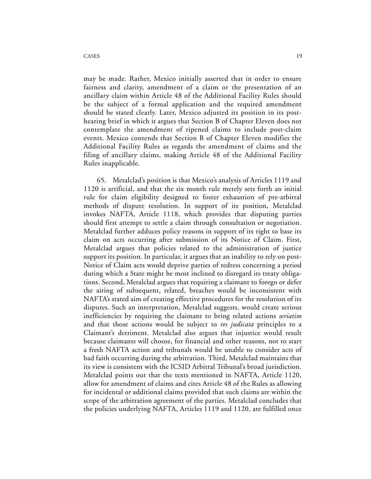may be made. Rather, Mexico initially asserted that in order to ensure fairness and clarity, amendment of a claim or the presentation of an ancillary claim within Article 48 of the Additional Facility Rules should be the subject of a formal application and the required amendment should be stated clearly. Later, Mexico adjusted its position in its posthearing brief in which it argues that Section B of Chapter Eleven does not contemplate the amendment of ripened claims to include post-claim events. Mexico contends that Section B of Chapter Eleven modifies the Additional Facility Rules as regards the amendment of claims and the filing of ancillary claims, making Article 48 of the Additional Facility Rules inapplicable.

65. Metalclad's position is that Mexico's analysis of Articles 1119 and 1120 is artificial, and that the six month rule merely sets forth an initial rule for claim eligibility designed to foster exhaustion of pre-arbitral methods of dispute resolution. In support of its position, Metalclad invokes NAFTA, Article 1118, which provides that disputing parties should first attempt to settle a claim through consultation or negotiation. Metalclad further adduces policy reasons in support of its right to base its claim on acts occurring after submission of its Notice of Claim. First, Metalclad argues that policies related to the administration of justice support its position. In particular, it argues that an inability to rely on post-Notice of Claim acts would deprive parties of redress concerning a period during which a State might be most inclined to disregard its treaty obligations. Second, Metalclad argues that requiring a claimant to forego or defer the airing of subsequent, related, breaches would be inconsistent with NAFTA's stated aim of creating effective procedures for the resolution of its disputes. Such an interpretation, Metalclad suggests, would create serious inefficiencies by requiring the claimant to bring related actions *seriatim* and that those actions would be subject to *res judicata* principles to a Claimant's detriment. Metalclad also argues that injustice would result because claimants will choose, for financial and other reasons, not to start a fresh NAFTA action and tribunals would be unable to consider acts of bad faith occurring during the arbitration. Third, Metalclad maintains that its view is consistent with the ICSID Arbitral Tribunal's broad jurisdiction. Metalclad points out that the texts mentioned in NAFTA, Article 1120, allow for amendment of claims and cites Article 48 of the Rules as allowing for incidental or additional claims provided that such claims are within the scope of the arbitration agreement of the parties. Metalclad concludes that the policies underlying NAFTA, Articles 1119 and 1120, are fulfilled once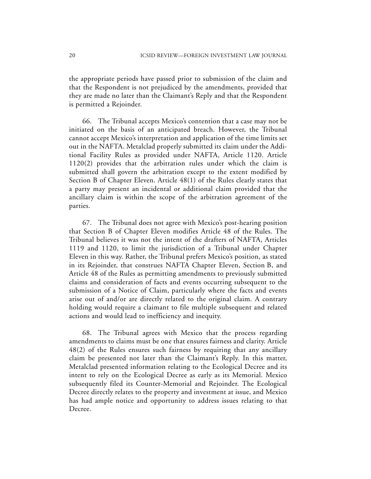the appropriate periods have passed prior to submission of the claim and that the Respondent is not prejudiced by the amendments, provided that they are made no later than the Claimant's Reply and that the Respondent is permitted a Rejoinder.

66. The Tribunal accepts Mexico's contention that a case may not be initiated on the basis of an anticipated breach. However, the Tribunal cannot accept Mexico's interpretation and application of the time limits set out in the NAFTA. Metalclad properly submitted its claim under the Additional Facility Rules as provided under NAFTA, Article 1120. Article 1120(2) provides that the arbitration rules under which the claim is submitted shall govern the arbitration except to the extent modified by Section B of Chapter Eleven. Article 48(1) of the Rules clearly states that a party may present an incidental or additional claim provided that the ancillary claim is within the scope of the arbitration agreement of the parties.

67. The Tribunal does not agree with Mexico's post-hearing position that Section B of Chapter Eleven modifies Article 48 of the Rules. The Tribunal believes it was not the intent of the drafters of NAFTA, Articles 1119 and 1120, to limit the jurisdiction of a Tribunal under Chapter Eleven in this way. Rather, the Tribunal prefers Mexico's position, as stated in its Rejoinder, that construes NAFTA Chapter Eleven, Section B, and Article 48 of the Rules as permitting amendments to previously submitted claims and consideration of facts and events occurring subsequent to the submission of a Notice of Claim, particularly where the facts and events arise out of and/or are directly related to the original claim. A contrary holding would require a claimant to file multiple subsequent and related actions and would lead to inefficiency and inequity.

68. The Tribunal agrees with Mexico that the process regarding amendments to claims must be one that ensures fairness and clarity. Article 48(2) of the Rules ensures such fairness by requiring that any ancillary claim be presented not later than the Claimant's Reply. In this matter, Metalclad presented information relating to the Ecological Decree and its intent to rely on the Ecological Decree as early as its Memorial. Mexico subsequently filed its Counter-Memorial and Rejoinder. The Ecological Decree directly relates to the property and investment at issue, and Mexico has had ample notice and opportunity to address issues relating to that Decree.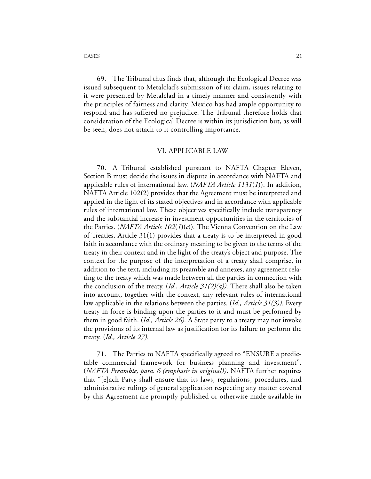69. The Tribunal thus finds that, although the Ecological Decree was issued subsequent to Metalclad's submission of its claim, issues relating to it were presented by Metalclad in a timely manner and consistently with the principles of fairness and clarity. Mexico has had ample opportunity to respond and has suffered no prejudice. The Tribunal therefore holds that consideration of the Ecological Decree is within its jurisdiction but, as will be seen, does not attach to it controlling importance.

#### VI. APPLICABLE LAW

70. A Tribunal established pursuant to NAFTA Chapter Eleven, Section B must decide the issues in dispute in accordance with NAFTA and applicable rules of international law. (*NAFTA Article 1131*(*1*)). In addition, NAFTA Article 102(2) provides that the Agreement must be interpreted and applied in the light of its stated objectives and in accordance with applicable rules of international law. These objectives specifically include transparency and the substantial increase in investment opportunities in the territories of the Parties. (*NAFTA Article 102*(*1*)(*c*))*.* The Vienna Convention on the Law of Treaties, Article 31(1) provides that a treaty is to be interpreted in good faith in accordance with the ordinary meaning to be given to the terms of the treaty in their context and in the light of the treaty's object and purpose. The context for the purpose of the interpretation of a treaty shall comprise, in addition to the text, including its preamble and annexes, any agreement relating to the treaty which was made between all the parties in connection with the conclusion of the treaty. (*Id., Article 31(2)(a)).* There shall also be taken into account, together with the context, any relevant rules of international law applicable in the relations between the parties. (*Id., Article 31(3)).* Every treaty in force is binding upon the parties to it and must be performed by them in good faith. (*Id., Article 26).* A State party to a treaty may not invoke the provisions of its internal law as justification for its failure to perform the treaty. (*Id., Article 27).*

71. The Parties to NAFTA specifically agreed to "ENSURE a predictable commercial framework for business planning and investment". (*NAFTA Preamble, para. 6 (emphasis in original))*. NAFTA further requires that "[e]ach Party shall ensure that its laws, regulations, procedures, and administrative rulings of general application respecting any matter covered by this Agreement are promptly published or otherwise made available in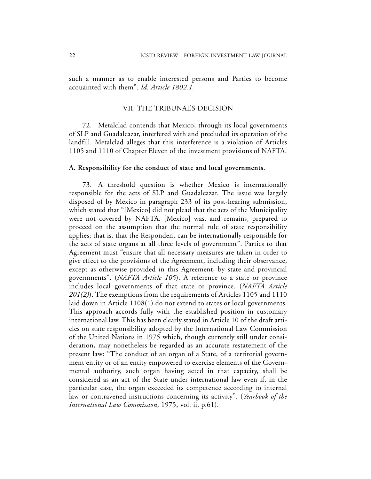such a manner as to enable interested persons and Parties to become acquainted with them". *Id. Article 1802.1.*

#### VII. THE TRIBUNAL'S DECISION

72. Metalclad contends that Mexico, through its local governments of SLP and Guadalcazar, interfered with and precluded its operation of the landfill. Metalclad alleges that this interference is a violation of Articles 1105 and 1110 of Chapter Eleven of the investment provisions of NAFTA.

#### **A. Responsibility for the conduct of state and local governments.**

73. A threshold question is whether Mexico is internationally responsible for the acts of SLP and Guadalcazar. The issue was largely disposed of by Mexico in paragraph 233 of its post-hearing submission, which stated that "[Mexico] did not plead that the acts of the Municipality were not covered by NAFTA. [Mexico] was, and remains, prepared to proceed on the assumption that the normal rule of state responsibility applies; that is, that the Respondent can be internationally responsible for the acts of state organs at all three levels of government". Parties to that Agreement must "ensure that all necessary measures are taken in order to give effect to the provisions of the Agreement, including their observance, except as otherwise provided in this Agreement, by state and provincial governments". (*NAFTA Article 105*). A reference to a state or province includes local governments of that state or province. (*NAFTA Article 201(2)*). The exemptions from the requirements of Articles 1105 and 1110 laid down in Article 1108(1) do not extend to states or local governments. This approach accords fully with the established position in customary international law. This has been clearly stated in Article 10 of the draft articles on state responsibility adopted by the International Law Commission of the United Nations in 1975 which, though currently still under consideration, may nonetheless be regarded as an accurate restatement of the present law: "The conduct of an organ of a State, of a territorial government entity or of an entity empowered to exercise elements of the Governmental authority, such organ having acted in that capacity, shall be considered as an act of the State under international law even if, in the particular case, the organ exceeded its competence according to internal law or contravened instructions concerning its activity". (*Yearbook of the International Law Commission*, 1975, vol. ii, p.61).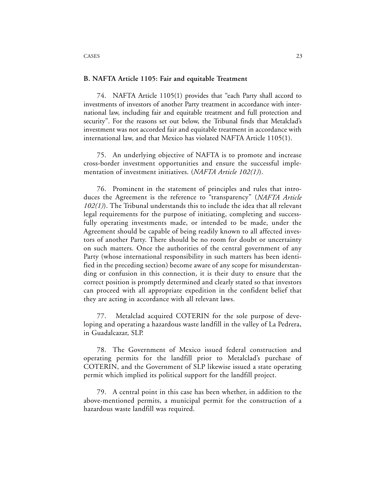#### **B. NAFTA Article 1105: Fair and equitable Treatment**

74. NAFTA Article 1105(1) provides that "each Party shall accord to investments of investors of another Party treatment in accordance with international law, including fair and equitable treatment and full protection and security". For the reasons set out below, the Tribunal finds that Metalclad's investment was not accorded fair and equitable treatment in accordance with international law, and that Mexico has violated NAFTA Article 1105(1).

75. An underlying objective of NAFTA is to promote and increase cross-border investment opportunities and ensure the successful implementation of investment initiatives. (*NAFTA Article 102(1)*).

76. Prominent in the statement of principles and rules that introduces the Agreement is the reference to "transparency" (*NAFTA Article 102(1)*). The Tribunal understands this to include the idea that all relevant legal requirements for the purpose of initiating, completing and successfully operating investments made, or intended to be made, under the Agreement should be capable of being readily known to all affected investors of another Party. There should be no room for doubt or uncertainty on such matters. Once the authorities of the central government of any Party (whose international responsibility in such matters has been identified in the preceding section) become aware of any scope for misunderstanding or confusion in this connection, it is their duty to ensure that the correct position is promptly determined and clearly stated so that investors can proceed with all appropriate expedition in the confident belief that they are acting in accordance with all relevant laws.

77. Metalclad acquired COTERIN for the sole purpose of developing and operating a hazardous waste landfill in the valley of La Pedrera, in Guadalcazar, SLP.

78. The Government of Mexico issued federal construction and operating permits for the landfill prior to Metalclad's purchase of COTERIN, and the Government of SLP likewise issued a state operating permit which implied its political support for the landfill project.

79. A central point in this case has been whether, in addition to the above-mentioned permits, a municipal permit for the construction of a hazardous waste landfill was required.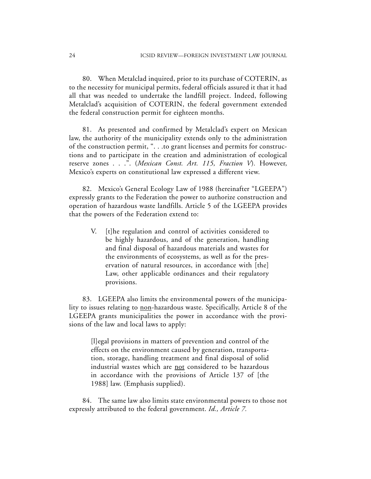80. When Metalclad inquired, prior to its purchase of COTERIN, as to the necessity for municipal permits, federal officials assured it that it had all that was needed to undertake the landfill project. Indeed, following Metalclad's acquisition of COTERIN, the federal government extended the federal construction permit for eighteen months.

81. As presented and confirmed by Metalclad's expert on Mexican law, the authority of the municipality extends only to the administration of the construction permit, ". . .to grant licenses and permits for constructions and to participate in the creation and administration of ecological reserve zones . . .". (*Mexican Const. Art. 115, Fraction V*)*.* However, Mexico's experts on constitutional law expressed a different view.

82. Mexico's General Ecology Law of 1988 (hereinafter "LGEEPA") expressly grants to the Federation the power to authorize construction and operation of hazardous waste landfills. Article 5 of the LGEEPA provides that the powers of the Federation extend to:

V. [t]he regulation and control of activities considered to be highly hazardous, and of the generation, handling and final disposal of hazardous materials and wastes for the environments of ecosystems, as well as for the preservation of natural resources, in accordance with [the] Law, other applicable ordinances and their regulatory provisions.

83. LGEEPA also limits the environmental powers of the municipality to issues relating to non-hazardous waste. Specifically, Article 8 of the LGEEPA grants municipalities the power in accordance with the provisions of the law and local laws to apply:

[l]egal provisions in matters of prevention and control of the effects on the environment caused by generation, transportation, storage, handling treatment and final disposal of solid industrial wastes which are not considered to be hazardous in accordance with the provisions of Article 137 of [the 1988] law. (Emphasis supplied).

84. The same law also limits state environmental powers to those not expressly attributed to the federal government. *Id., Article 7.*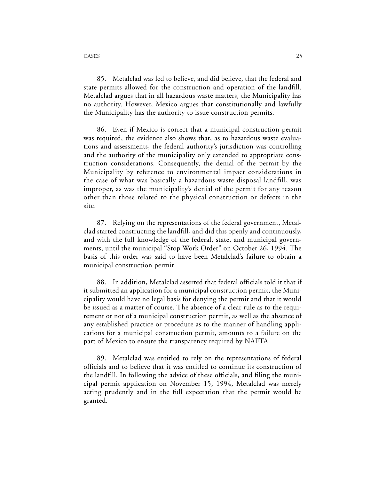85. Metalclad was led to believe, and did believe, that the federal and state permits allowed for the construction and operation of the landfill. Metalclad argues that in all hazardous waste matters, the Municipality has no authority. However, Mexico argues that constitutionally and lawfully the Municipality has the authority to issue construction permits.

86. Even if Mexico is correct that a municipal construction permit was required, the evidence also shows that, as to hazardous waste evaluations and assessments, the federal authority's jurisdiction was controlling and the authority of the municipality only extended to appropriate construction considerations. Consequently, the denial of the permit by the Municipality by reference to environmental impact considerations in the case of what was basically a hazardous waste disposal landfill, was improper, as was the municipality's denial of the permit for any reason other than those related to the physical construction or defects in the site.

87. Relying on the representations of the federal government, Metalclad started constructing the landfill, and did this openly and continuously, and with the full knowledge of the federal, state, and municipal governments, until the municipal "Stop Work Order" on October 26, 1994. The basis of this order was said to have been Metalclad's failure to obtain a municipal construction permit.

88. In addition, Metalclad asserted that federal officials told it that if it submitted an application for a municipal construction permit, the Municipality would have no legal basis for denying the permit and that it would be issued as a matter of course. The absence of a clear rule as to the requirement or not of a municipal construction permit, as well as the absence of any established practice or procedure as to the manner of handling applications for a municipal construction permit, amounts to a failure on the part of Mexico to ensure the transparency required by NAFTA.

89. Metalclad was entitled to rely on the representations of federal officials and to believe that it was entitled to continue its construction of the landfill. In following the advice of these officials, and filing the municipal permit application on November 15, 1994, Metalclad was merely acting prudently and in the full expectation that the permit would be granted.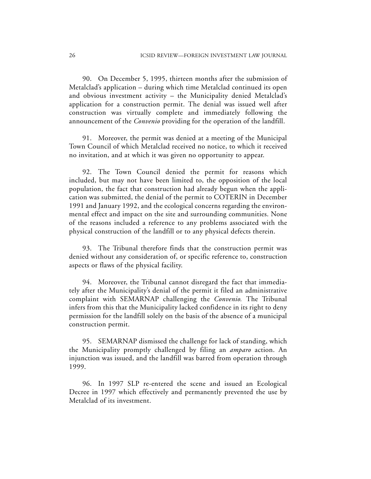90. On December 5, 1995, thirteen months after the submission of Metalclad's application – during which time Metalclad continued its open and obvious investment activity – the Municipality denied Metalclad's application for a construction permit. The denial was issued well after construction was virtually complete and immediately following the announcement of the *Convenio* providing for the operation of the landfill.

91. Moreover, the permit was denied at a meeting of the Municipal Town Council of which Metalclad received no notice, to which it received no invitation, and at which it was given no opportunity to appear.

92. The Town Council denied the permit for reasons which included, but may not have been limited to, the opposition of the local population, the fact that construction had already begun when the application was submitted, the denial of the permit to COTERIN in December 1991 and January 1992, and the ecological concerns regarding the environmental effect and impact on the site and surrounding communities. None of the reasons included a reference to any problems associated with the physical construction of the landfill or to any physical defects therein.

93. The Tribunal therefore finds that the construction permit was denied without any consideration of, or specific reference to, construction aspects or flaws of the physical facility.

94. Moreover, the Tribunal cannot disregard the fact that immediately after the Municipality's denial of the permit it filed an administrative complaint with SEMARNAP challenging the *Convenio.* The Tribunal infers from this that the Municipality lacked confidence in its right to deny permission for the landfill solely on the basis of the absence of a municipal construction permit.

95. SEMARNAP dismissed the challenge for lack of standing, which the Municipality promptly challenged by filing an *amparo* action. An injunction was issued, and the landfill was barred from operation through 1999.

96. In 1997 SLP re-entered the scene and issued an Ecological Decree in 1997 which effectively and permanently prevented the use by Metalclad of its investment.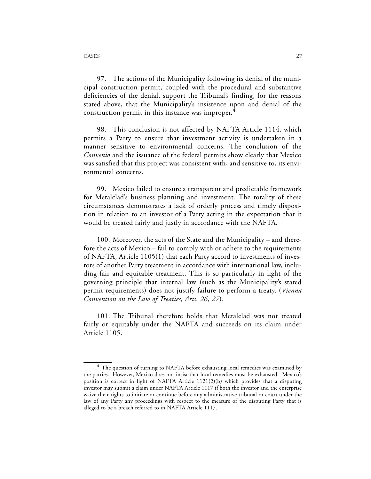97. The actions of the Municipality following its denial of the municipal construction permit, coupled with the procedural and substantive deficiencies of the denial, support the Tribunal's finding, for the reasons stated above, that the Municipality's insistence upon and denial of the construction permit in this instance was improper.<sup>4</sup>

98. This conclusion is not affected by NAFTA Article 1114, which permits a Party to ensure that investment activity is undertaken in a manner sensitive to environmental concerns. The conclusion of the *Convenio* and the issuance of the federal permits show clearly that Mexico was satisfied that this project was consistent with, and sensitive to, its environmental concerns.

99. Mexico failed to ensure a transparent and predictable framework for Metalclad's business planning and investment. The totality of these circumstances demonstrates a lack of orderly process and timely disposition in relation to an investor of a Party acting in the expectation that it would be treated fairly and justly in accordance with the NAFTA.

100. Moreover, the acts of the State and the Municipality – and therefore the acts of Mexico – fail to comply with or adhere to the requirements of NAFTA, Article 1105(1) that each Party accord to investments of investors of another Party treatment in accordance with international law, including fair and equitable treatment. This is so particularly in light of the governing principle that internal law (such as the Municipality's stated permit requirements) does not justify failure to perform a treaty. (*Vienna Convention on the Law of Treaties, Arts. 26, 27*)*.*

101. The Tribunal therefore holds that Metalclad was not treated fairly or equitably under the NAFTA and succeeds on its claim under Article 1105.

 $4$  The question of turning to NAFTA before exhausting local remedies was examined by the parties. However, Mexico does not insist that local remedies must be exhausted. Mexico's position is correct in light of NAFTA Article  $1121(2)(b)$  which provides that a disputing investor may submit a claim under NAFTA Article 1117 if both the investor and the enterprise waive their rights to initiate or continue before any administrative tribunal or court under the law of any Party any proceedings with respect to the measure of the disputing Party that is alleged to be a breach referred to in NAFTA Article 1117.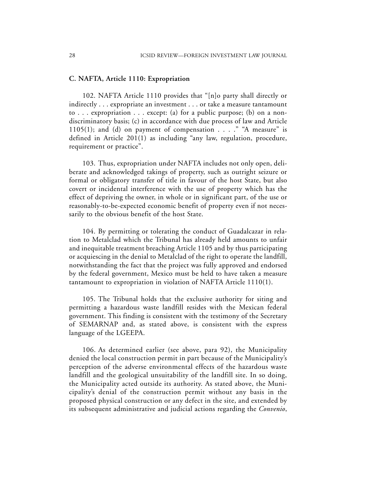#### **C. NAFTA, Article 1110: Expropriation**

102. NAFTA Article 1110 provides that "[n]o party shall directly or indirectly . . . expropriate an investment . . . or take a measure tantamount to . . . expropriation . . . except: (a) for a public purpose; (b) on a nondiscriminatory basis; (c) in accordance with due process of law and Article 1105(1); and (d) on payment of compensation  $\ldots$  ." "A measure" is defined in Article 201(1) as including "any law, regulation, procedure, requirement or practice".

103. Thus, expropriation under NAFTA includes not only open, deliberate and acknowledged takings of property, such as outright seizure or formal or obligatory transfer of title in favour of the host State, but also covert or incidental interference with the use of property which has the effect of depriving the owner, in whole or in significant part, of the use or reasonably-to-be-expected economic benefit of property even if not necessarily to the obvious benefit of the host State.

104. By permitting or tolerating the conduct of Guadalcazar in relation to Metalclad which the Tribunal has already held amounts to unfair and inequitable treatment breaching Article 1105 and by thus participating or acquiescing in the denial to Metalclad of the right to operate the landfill, notwithstanding the fact that the project was fully approved and endorsed by the federal government, Mexico must be held to have taken a measure tantamount to expropriation in violation of NAFTA Article 1110(1).

105. The Tribunal holds that the exclusive authority for siting and permitting a hazardous waste landfill resides with the Mexican federal government. This finding is consistent with the testimony of the Secretary of SEMARNAP and, as stated above, is consistent with the express language of the LGEEPA.

106. As determined earlier (see above, para 92), the Municipality denied the local construction permit in part because of the Municipality's perception of the adverse environmental effects of the hazardous waste landfill and the geological unsuitability of the landfill site. In so doing, the Municipality acted outside its authority. As stated above, the Municipality's denial of the construction permit without any basis in the proposed physical construction or any defect in the site, and extended by its subsequent administrative and judicial actions regarding the *Convenio*,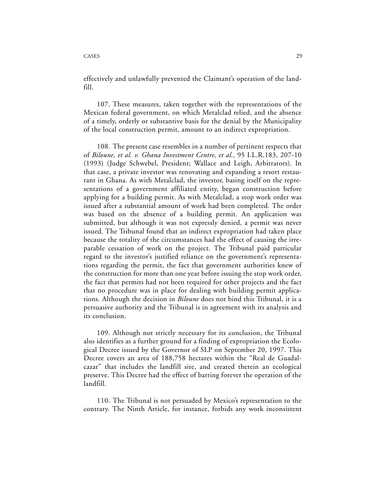effectively and unlawfully prevented the Claimant's operation of the landfill.

107. These measures, taken together with the representations of the Mexican federal government, on which Metalclad relied, and the absence of a timely, orderly or substantive basis for the denial by the Municipality of the local construction permit, amount to an indirect expropriation.

108. The present case resembles in a number of pertinent respects that of *Biloune, et al. v. Ghana Investment Centre, et al.,* 95 I.L.R.183, 207-10 (1993) (Judge Schwebel, President; Wallace and Leigh, Arbitrators). In that case, a private investor was renovating and expanding a resort restaurant in Ghana. As with Metalclad, the investor, basing itself on the representations of a government affiliated entity, began construction before applying for a building permit. As with Metalclad, a stop work order was issued after a substantial amount of work had been completed. The order was based on the absence of a building permit. An application was submitted, but although it was not expressly denied, a permit was never issued. The Tribunal found that an indirect expropriation had taken place because the totality of the circumstances had the effect of causing the irreparable cessation of work on the project. The Tribunal paid particular regard to the investor's justified reliance on the government's representations regarding the permit, the fact that government authorities knew of the construction for more than one year before issuing the stop work order, the fact that permits had not been required for other projects and the fact that no procedure was in place for dealing with building permit applications. Although the decision in *Biloune* does not bind this Tribunal, it is a persuasive authority and the Tribunal is in agreement with its analysis and its conclusion.

109. Although not strictly necessary for its conclusion, the Tribunal also identifies as a further ground for a finding of expropriation the Ecological Decree issued by the Governor of SLP on September 20, 1997. This Decree covers an area of 188,758 hectares within the "Real de Guadalcazar" that includes the landfill site, and created therein an ecological preserve. This Decree had the effect of barring forever the operation of the landfill.

110. The Tribunal is not persuaded by Mexico's representation to the contrary. The Ninth Article, for instance, forbids any work inconsistent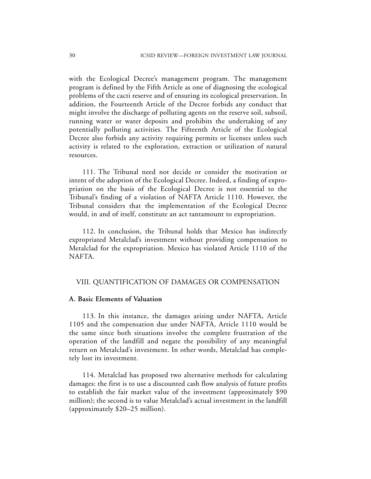with the Ecological Decree's management program. The management program is defined by the Fifth Article as one of diagnosing the ecological problems of the cacti reserve and of ensuring its ecological preservation. In addition, the Fourteenth Article of the Decree forbids any conduct that might involve the discharge of polluting agents on the reserve soil, subsoil, running water or water deposits and prohibits the undertaking of any potentially polluting activities. The Fifteenth Article of the Ecological Decree also forbids any activity requiring permits or licenses unless such activity is related to the exploration, extraction or utilization of natural resources.

111. The Tribunal need not decide or consider the motivation or intent of the adoption of the Ecological Decree. Indeed, a finding of expropriation on the basis of the Ecological Decree is not essential to the Tribunal's finding of a violation of NAFTA Article 1110. However, the Tribunal considers that the implementation of the Ecological Decree would, in and of itself, constitute an act tantamount to expropriation.

112. In conclusion, the Tribunal holds that Mexico has indirectly expropriated Metalclad's investment without providing compensation to Metalclad for the expropriation. Mexico has violated Article 1110 of the NAFTA.

#### VIII. QUANTIFICATION OF DAMAGES OR COMPENSATION

# **A. Basic Elements of Valuation**

113. In this instance, the damages arising under NAFTA, Article 1105 and the compensation due under NAFTA, Article 1110 would be the same since both situations involve the complete frustration of the operation of the landfill and negate the possibility of any meaningful return on Metalclad's investment. In other words, Metalclad has completely lost its investment.

114. Metalclad has proposed two alternative methods for calculating damages: the first is to use a discounted cash flow analysis of future profits to establish the fair market value of the investment (approximately \$90 million); the second is to value Metalclad's actual investment in the landfill (approximately \$20–25 million).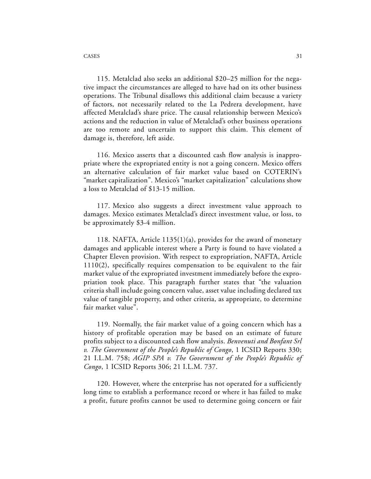115. Metalclad also seeks an additional \$20–25 million for the negative impact the circumstances are alleged to have had on its other business operations. The Tribunal disallows this additional claim because a variety of factors, not necessarily related to the La Pedrera development, have affected Metalclad's share price. The causal relationship between Mexico's actions and the reduction in value of Metalclad's other business operations are too remote and uncertain to support this claim. This element of damage is, therefore, left aside.

116. Mexico asserts that a discounted cash flow analysis is inappropriate where the expropriated entity is not a going concern. Mexico offers an alternative calculation of fair market value based on COTERIN's "market capitalization". Mexico's "market capitalization" calculations show a loss to Metalclad of \$13-15 million.

117. Mexico also suggests a direct investment value approach to damages. Mexico estimates Metalclad's direct investment value, or loss, to be approximately \$3-4 million.

118. NAFTA, Article 1135(1)(a), provides for the award of monetary damages and applicable interest where a Party is found to have violated a Chapter Eleven provision. With respect to expropriation, NAFTA, Article 1110(2), specifically requires compensation to be equivalent to the fair market value of the expropriated investment immediately before the expropriation took place. This paragraph further states that "the valuation criteria shall include going concern value, asset value including declared tax value of tangible property, and other criteria, as appropriate, to determine fair market value".

119. Normally, the fair market value of a going concern which has a history of profitable operation may be based on an estimate of future profits subject to a discounted cash flow analysis. *Benvenuti and Bonfant Srl v. The Government of the People's Republic of Congo*, 1 ICSID Reports 330; 21 I.L.M. 758; *AGIP SPA v. The Government of the People's Republic of Congo*, 1 ICSID Reports 306; 21 I.L.M. 737.

120. However, where the enterprise has not operated for a sufficiently long time to establish a performance record or where it has failed to make a profit, future profits cannot be used to determine going concern or fair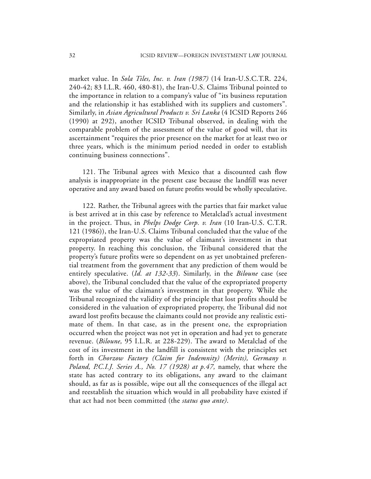market value. In *Sola Tiles, Inc. v. Iran (1987)* (14 Iran-U.S.C.T.R. 224, 240-42; 83 I.L.R. 460, 480-81), the Iran-U.S. Claims Tribunal pointed to the importance in relation to a company's value of "its business reputation and the relationship it has established with its suppliers and customers". Similarly, in *Asian Agricultural Products v. Sri Lanka* (4 ICSID Reports 246 (1990) at 292), another ICSID Tribunal observed, in dealing with the comparable problem of the assessment of the value of good will, that its ascertainment "requires the prior presence on the market for at least two or three years, which is the minimum period needed in order to establish continuing business connections".

121. The Tribunal agrees with Mexico that a discounted cash flow analysis is inappropriate in the present case because the landfill was never operative and any award based on future profits would be wholly speculative.

122. Rather, the Tribunal agrees with the parties that fair market value is best arrived at in this case by reference to Metalclad's actual investment in the project. Thus, in *Phelps Dodge Corp. v. Iran* (10 Iran-U.S. C.T.R. 121 (1986)), the Iran-U.S. Claims Tribunal concluded that the value of the expropriated property was the value of claimant's investment in that property. In reaching this conclusion, the Tribunal considered that the property's future profits were so dependent on as yet unobtained preferential treatment from the government that any prediction of them would be entirely speculative. (*Id. at 132-33*). Similarly, in the *Biloune* case (see above), the Tribunal concluded that the value of the expropriated property was the value of the claimant's investment in that property. While the Tribunal recognized the validity of the principle that lost profits should be considered in the valuation of expropriated property, the Tribunal did not award lost profits because the claimants could not provide any realistic estimate of them. In that case, as in the present one, the expropriation occurred when the project was not yet in operation and had yet to generate revenue. (*Biloune,* 95 I.L.R. at 228-229). The award to Metalclad of the cost of its investment in the landfill is consistent with the principles set forth in *Chorzow Factory (Claim for Indemnity) (Merits), Germany v. Poland, P.C.I.J. Series A., No. 17 (1928) at p.47,* namely, that where the state has acted contrary to its obligations, any award to the claimant should, as far as is possible, wipe out all the consequences of the illegal act and reestablish the situation which would in all probability have existed if that act had not been committed (the *status quo ante)*.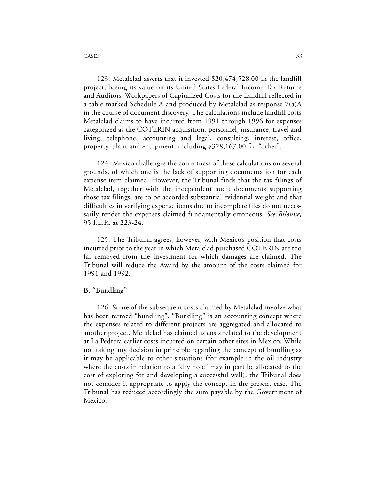123. Metalclad asserts that it invested \$20,474,528.00 in the landfill project, basing its value on its United States Federal Income Tax Returns and Auditors' Workpapers of Capitalized Costs for the Landfill reflected in a table marked Schedule A and produced by Metalclad as response 7(a)A in the course of document discovery. The calculations include landfill costs Metalclad claims to have incurred from 1991 through 1996 for expenses categorized as the COTERIN acquisition, personnel, insurance, travel and living, telephone, accounting and legal, consulting, interest, office, property, plant and equipment, including \$328,167.00 for "other".

124. Mexico challenges the correctness of these calculations on several grounds, of which one is the lack of supporting documentation for each expense item claimed. However, the Tribunal finds that the tax filings of Metalclad, together with the independent audit documents supporting those tax filings, are to be accorded substantial evidential weight and that difficulties in verifying expense items due to incomplete files do not necessarily render the expenses claimed fundamentally erroneous. *See Biloune,* 95 I.L.R. at 223-24.

125. The Tribunal agrees, however, with Mexico's position that costs incurred prior to the year in which Metalclad purchased COTERIN are too far removed from the investment for which damages are claimed. The Tribunal will reduce the Award by the amount of the costs claimed for 1991 and 1992.

#### **B. "Bundling"**

126. Some of the subsequent costs claimed by Metalclad involve what has been termed "bundling". "Bundling" is an accounting concept where the expenses related to different projects are aggregated and allocated to another project. Metalclad has claimed as costs related to the development at La Pedrera earlier costs incurred on certain other sites in Mexico. While not taking any decision in principle regarding the concept of bundling as it may be applicable to other situations (for example in the oil industry where the costs in relation to a "dry hole" may in part be allocated to the cost of exploring for and developing a successful well), the Tribunal does not consider it appropriate to apply the concept in the present case. The Tribunal has reduced accordingly the sum payable by the Government of Mexico.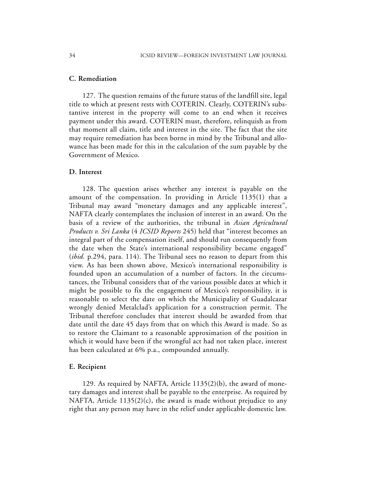#### **C. Remediation**

127. The question remains of the future status of the landfill site, legal title to which at present rests with COTERIN. Clearly, COTERIN's substantive interest in the property will come to an end when it receives payment under this award. COTERIN must, therefore, relinquish as from that moment all claim, title and interest in the site. The fact that the site may require remediation has been borne in mind by the Tribunal and allowance has been made for this in the calculation of the sum payable by the Government of Mexico.

#### **D. Interest**

128. The question arises whether any interest is payable on the amount of the compensation. In providing in Article 1135(1) that a Tribunal may award "monetary damages and any applicable interest", NAFTA clearly contemplates the inclusion of interest in an award. On the basis of a review of the authorities, the tribunal in *Asian Agricultural Products v. Sri Lanka* (4 *ICSID Reports* 245) held that "interest becomes an integral part of the compensation itself, and should run consequently from the date when the State's international responsibility became engaged" (*ibid.* p.294, para. 114). The Tribunal sees no reason to depart from this view. As has been shown above, Mexico's international responsibility is founded upon an accumulation of a number of factors. In the circumstances, the Tribunal considers that of the various possible dates at which it might be possible to fix the engagement of Mexico's responsibility, it is reasonable to select the date on which the Municipality of Guadalcazar wrongly denied Metalclad's application for a construction permit. The Tribunal therefore concludes that interest should be awarded from that date until the date 45 days from that on which this Award is made. So as to restore the Claimant to a reasonable approximation of the position in which it would have been if the wrongful act had not taken place, interest has been calculated at 6% p.a., compounded annually.

#### **E. Recipient**

129. As required by NAFTA, Article 1135(2)(b), the award of monetary damages and interest shall be payable to the enterprise. As required by NAFTA, Article  $1135(2)(c)$ , the award is made without prejudice to any right that any person may have in the relief under applicable domestic law.